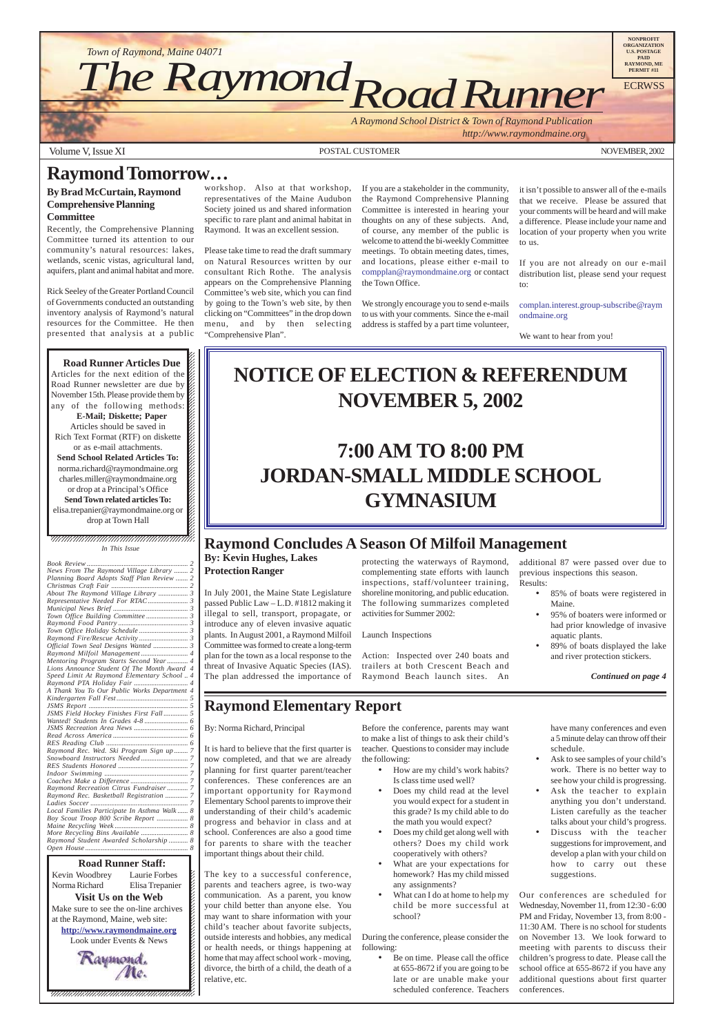*A Raymond School District & Town of Raymond Publication*

 *http://www.raymondmaine.org*

Volume V, Issue XI POSTAL CUSTOMER NOVEMBER, 2002

12345678901234567890123456789012123456789012345678 Kevin Woodbrey Laurie Forbes  $\boldsymbol{\xi}$ Norma Richard Elisa Trepanier  $\blacksquare$ **Visit Us on the Web** 12345678901234567890123456789012123456789012345678 Make sure to see the on-line archives  $\mathcal{L}$ 12345678901234567890123456789012123456789012345678 at the Raymond, Maine, web site:  $\mathcal{L}$ **http://www.raymondmaine.org** 12345678901234567890123456789012123456789012345678 Look under Events & News  $\mathcal{L}$  $123$ 





- Does my child read at the level you would expect for a student in this grade? Is my child able to do the math you would expect?
- Does my child get along well with others? Does my child work cooperatively with others?
- What are your expectations for homework? Has my child missed any assignments?
- What can I do at home to help my child be more successful at school?

Be on time. Please call the office at 655-8672 if you are going to be late or are unable make your scheduled conference. Teachers

- 85% of boats were registered in Maine.
- 95% of boaters were informed or had prior knowledge of invasive aquatic plants.
- 89% of boats displayed the lake and river protection stickers.

 $1235678901234587890123456789012345678901234567890123456789012345678901234567890123456789012345678901234567890123456789012345678901234567890123456789012345678901234567890123456789012345678901234567890123456789012345678901$  $1235678901234587890123456789012345678901234567890123456789012345678901234567890123456789012345678901234567890123456789012345678901234567890123456789012345678901234567890123456789012345678901234567890123456789012345678901$  $\blacksquare$ , 1234567891234567891234567891234567891234567891234567891234578 *In This Issue*

### **Raymond Elementary Report**

#### By: Norma Richard, Principal

It is hard to believe that the first quarter is now completed, and that we are already planning for first quarter parent/teacher conferences. These conferences are an

important opportunity for Raymond Elementary School parents to improve their understanding of their child's academic progress and behavior in class and at school. Conferences are also a good time for parents to share with the teacher important things about their child.

The key to a successful conference, parents and teachers agree, is two-way communication. As a parent, you know your child better than anyone else. You may want to share information with your child's teacher about favorite subjects, outside interests and hobbies, any medical or health needs, or things happening at home that may affect school work - moving, divorce, the birth of a child, the death of a relative, etc.

Before the conference, parents may want to make a list of things to ask their child's teacher. Questions to consider may include the following:

• How are my child's work habits? Is class time used well?

During the conference, please consider the following:

have many conferences and even a 5 minute delay can throw off their schedule.

• Ask to see samples of your child's work. There is no better way to see how your child is progressing. Ask the teacher to explain anything you don't understand. Listen carefully as the teacher talks about your child's progress. • Discuss with the teacher suggestions for improvement, and develop a plan with your child on how to carry out these suggestions.

Our conferences are scheduled for Wednesday, November 11, from 12:30 - 6:00 PM and Friday, November 13, from 8:00 - 11:30 AM. There is no school for students on November 13. We look forward to meeting with parents to discuss their children's progress to date. Please call the school office at 655-8672 if you have any additional questions about first quarter conferences.

# **NOTICE OF ELECTION & REFERENDUM NOVEMBER 5, 2002**

# **7:00 AM TO 8:00 PM JORDAN-SMALL MIDDLE SCHOOL GYMNASIUM**

## **Raymond Tomorrow…**

#### **By Brad McCurtain, Raymond Comprehensive Planning Committee**

Recently, the Comprehensive Planning Committee turned its attention to our community's natural resources: lakes, wetlands, scenic vistas, agricultural land, aquifers, plant and animal habitat and more.

Rick Seeley of the Greater Portland Council of Governments conducted an outstanding inventory analysis of Raymond's natural resources for the Committee. He then presented that analysis at a public

#### 12345678901234567890123456789012345678901234567890123456789012345678901234567890123456789012345678901234567890 12345678901234567890123456789012123456789012345678  $1235678901234567890123456789012345678901234567890123456789012345678901234567890123456789012345678901234567890123456789012345678901234567890123456789012345678901234567890123456789012345678901234567890123456789012345678901$ **Road Runner Articles Due**

Articles for the next edition of the  $\mathscr{C}$  $1235678901234587890123456789012345678901234567890123456789012345678901234567890123456789012345678901234567890123456789012345678901234567890123456789012345678901234567890123456789012345678901234567890123456789012345678901$ Road Runner newsletter are due by  $\%$ November 15th. Please provide them by any of the following methods:  $\mathscr{L}$ **E-Mail; Diskette; Paper** Articles should be saved in  $1235678901234567890123456789012345678901234567890123456789012345678901234567890123456789012345678901234567890123456789012345678901234567890123456789012345678901234567890123456789012345678901234567890123456789012345678901$ Rich Text Format (RTF) on diskette  $\%$ or as e-mail attachments.  $1235678901234587890123456789012345678901234567890123456789012345678901234567890123456789012345678901234567890123456789012345678901234567890123456789012345678901234567890123456789012345678901234567890123456789012345678901$ **Send School Related Articles To:** norma.richard@raymondmaine.org charles.miller@raymondmaine.org  $18.8$  8  $18.8$  8  $18.8$  8  $18.8$  8  $18.8$  8  $18.8$  8  $18.8$  8  $18.8$  8  $18.8$  8  $18.8$  8  $18.8$  8  $18.8$  8  $18.8$  8  $18.8$  8  $18.8$  8  $18.8$  8  $18.8$  8  $18.8$  8  $18.8$  8  $18.8$  8  $18.8$  8  $18.8$  8  $18.8$  8  $18.8$  8  $18.8$ or drop at a Principal's Office  $\mathscr{C}$ **Send Town related articles To:**  $1235678901234567890123456789012345678901234567890123456789012345678901234567890123456789012345678901234567890123456789012345678901234567890123456789012345678901234567890123456789012345678901234567890123456789012345678901$ elisa.trepanier@raymondmaine.org or  $\mathscr{C}$  $\Delta$  drop at Town Hall  $1235678901234567890123456789012345678901234567890123456789012345678901234567890123456789012345678901234567890123456789012345678901234567890123456789012345678901234567890123456789012345678901234567890123456789012345678901$ 

workshop. Also at that workshop, representatives of the Maine Audubon Society joined us and shared information specific to rare plant and animal habitat in Raymond. It was an excellent session.

Please take time to read the draft summary on Natural Resources written by our consultant Rich Rothe. The analysis appears on the Comprehensive Planning Committee's web site, which you can find by going to the Town's web site, by then clicking on "Committees" in the drop down menu, and by then selecting "Comprehensive Plan".

If you are a stakeholder in the community, the Raymond Comprehensive Planning Committee is interested in hearing your thoughts on any of these subjects. And, of course, any member of the public is welcome to attend the bi-weekly Committee meetings. To obtain meeting dates, times, and locations, please either e-mail to compplan@raymondmaine.org or contact the Town Office.

We strongly encourage you to send e-mails to us with your comments. Since the e-mail address is staffed by a part time volunteer,

it isn't possible to answer all of the e-mails that we receive. Please be assured that your comments will be heard and will make a difference. Please include your name and location of your property when you write to us.

If you are not already on our e-mail distribution list, please send your request to:

complan.interest.group-subscribe@raym ondmaine.org

We want to hear from you!

### **Raymond Concludes A Season Of Milfoil Management**

#### **By: Kevin Hughes, Lakes Protection Ranger**

In July 2001, the Maine State Legislature passed Public Law – L.D. #1812 making it illegal to sell, transport, propagate, or introduce any of eleven invasive aquatic plants. In August 2001, a Raymond Milfoil Committee was formed to create a long-term plan for the town as a local response to the threat of Invasive Aquatic Species (IAS). The plan addressed the importance of protecting the waterways of Raymond, complementing state efforts with launch inspections, staff/volunteer training, shoreline monitoring, and public education. The following summarizes completed activities for Summer 2002:

Launch Inspections

Action: Inspected over 240 boats and trailers at both Crescent Beach and Raymond Beach launch sites. An additional 87 were passed over due to previous inspections this season. Results:

*Continued on page 4*

| News From The Raymond Village Library  2     |  |
|----------------------------------------------|--|
| Planning Board Adopts Staff Plan Review  2   |  |
|                                              |  |
| About The Raymond Village Library  3         |  |
|                                              |  |
|                                              |  |
|                                              |  |
|                                              |  |
|                                              |  |
|                                              |  |
|                                              |  |
|                                              |  |
| Mentoring Program Starts Second Year 4       |  |
| Lions Announce Student Of The Month Award 4  |  |
| Speed Limit At Raymond Elementary School  4  |  |
|                                              |  |
| A Thank You To Our Public Works Department 4 |  |
|                                              |  |
|                                              |  |
| JSMS Field Hockey Finishes First Fall 5      |  |
|                                              |  |
|                                              |  |
|                                              |  |
|                                              |  |
| Raymond Rec. Wed. Ski Program Sign up  7     |  |
|                                              |  |
|                                              |  |
|                                              |  |
|                                              |  |

| Raymond Recreation Citrus Fundraiser 7      |  |
|---------------------------------------------|--|
|                                             |  |
|                                             |  |
| Local Families Participate In Asthma Walk 8 |  |
|                                             |  |
|                                             |  |
|                                             |  |
| Raymond Student Awarded Scholarship  8      |  |
|                                             |  |
|                                             |  |

#### **1234567801234567890123456789121234567890121234567890123456789012345678901234567890123456789012345678**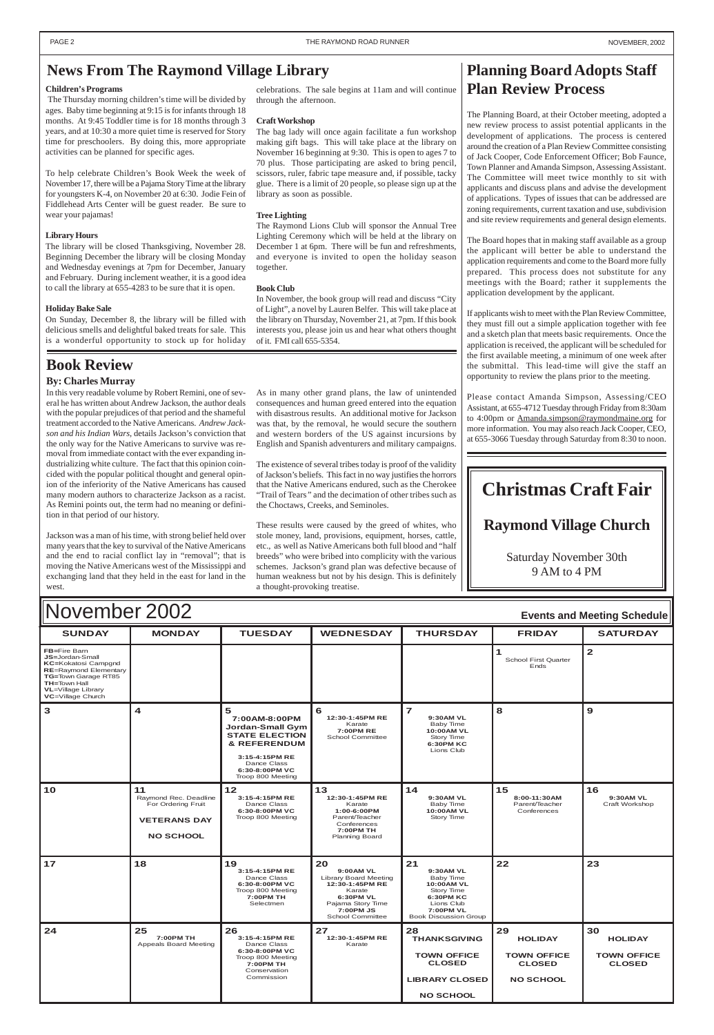#### $\blacksquare$   $\blacksquare$   $\blacksquare$   $\blacksquare$   $\blacksquare$   $\blacksquare$   $\blacksquare$   $\blacksquare$   $\blacksquare$   $\blacksquare$   $\blacksquare$   $\blacksquare$   $\blacksquare$   $\blacksquare$   $\blacksquare$   $\blacksquare$   $\blacksquare$   $\blacksquare$   $\blacksquare$   $\blacksquare$   $\blacksquare$   $\blacksquare$   $\blacksquare$   $\blacksquare$   $\blacksquare$   $\blacksquare$   $\blacksquare$   $\blacksquare$   $\blacksquare$   $\blacksquare$   $\blacksquare$   $\blacksquare$ **FB=**Fire Barn **JS=**Jordan-Small **KC=**Kokatosi Campgnd **RE**=Raymond Elementar **TG=**Town Garage RT85 **TH=**Town Hall **VL**=Village Library **VC**=Village Church **1** School First Quarter Ends **2 3 4 5 7:00AM-8:00PM Jordan-Small Gym STATE ELECTION & REFERENDUM 3:15-4:15PM RE** Dance Class **6:30-8:00PM VC** Troop 800 Meeting **<sup>6</sup> 12:30-1:45PM RE** Karate **7:00PM RE** School Committee **7 9:30AM VL** Baby Time **10:00AM VL** Story Time **6:30PM KC** Lions Club **8 9** November 2002 **Events and Meeting Schedule**

| 10 | 11<br>Raymond Rec. Deadline<br>For Ordering Fruit<br><b>VETERANS DAY</b><br><b>NO SCHOOL</b> | 12<br>3:15-4:15PM RE<br>Dance Class<br>6:30-8:00PM VC<br>Troop 800 Meeting                                            | 13<br>12:30-1:45PM RE<br>Karate<br>$1:00-6:00PM$<br>Parent/Teacher<br>Conferences<br>7:00PM TH<br><b>Planning Board</b>                         | 14<br><b>9:30AM VL</b><br>Baby Time<br>10:00AM VL<br>Story Time                                                                                | 15<br>8:00-11:30AM<br>Parent/Teacher<br>Conferences                             | 16<br>9:30AM VL<br>Craft Workshop                           |
|----|----------------------------------------------------------------------------------------------|-----------------------------------------------------------------------------------------------------------------------|-------------------------------------------------------------------------------------------------------------------------------------------------|------------------------------------------------------------------------------------------------------------------------------------------------|---------------------------------------------------------------------------------|-------------------------------------------------------------|
| 17 | 18                                                                                           | 19<br>3:15-4:15PM RE<br>Dance Class<br>6:30-8:00PM VC<br>Troop 800 Meeting<br>7:00PM TH<br>Selectmen                  | 20<br>9:00AM VL<br>Library Board Meeting<br>12:30-1:45PM RE<br>Karate<br>6:30PM VL<br>Pajama Story Time<br>7:00PM JS<br><b>School Committee</b> | 21<br>9:30AM VL<br>Baby Time<br><b>10:00AM VL</b><br>Story Time<br>6:30PM KC<br>Lions Club<br><b>7:00PM VL</b><br><b>Book Discussion Group</b> | 22                                                                              | 23                                                          |
| 24 | 25<br>7:00PM TH<br>Appeals Board Meeting                                                     | 26<br>3:15-4:15PM RE<br>Dance Class<br>6:30-8:00PM VC<br>Troop 800 Meeting<br>7:00PM TH<br>Conservation<br>Commission | 27<br>12:30-1:45PM RE<br>Karate                                                                                                                 | 28<br><b>THANKSGIVING</b><br><b>TOWN OFFICE</b><br><b>CLOSED</b><br><b>LIBRARY CLOSED</b><br><b>NO SCHOOL</b>                                  | 29<br><b>HOLIDAY</b><br><b>TOWN OFFICE</b><br><b>CLOSED</b><br><b>NO SCHOOL</b> | 30<br><b>HOLIDAY</b><br><b>TOWN OFFICE</b><br><b>CLOSED</b> |

### <span id="page-1-0"></span>**News From The Raymond Village Library**

#### **Children's Programs**

The Thursday morning children's time will be divided by ages. Baby time beginning at 9:15 is for infants through 18 months. At 9:45 Toddler time is for 18 months through 3 years, and at 10:30 a more quiet time is reserved for Story time for preschoolers. By doing this, more appropriate activities can be planned for specific ages.

To help celebrate Children's Book Week the week of November 17, there will be a Pajama Story Time at the library for youngsters K-4, on November 20 at 6:30. Jodie Fein of Fiddlehead Arts Center will be guest reader. Be sure to wear your pajamas!

#### **Library Hours**

The library will be closed Thanksgiving, November 28. Beginning December the library will be closing Monday and Wednesday evenings at 7pm for December, January and February. During inclement weather, it is a good idea to call the library at 655-4283 to be sure that it is open.

#### **Holiday Bake Sale**

On Sunday, December 8, the library will be filled with delicious smells and delightful baked treats for sale. This is a wonderful opportunity to stock up for holiday

celebrations. The sale begins at 11am and will continue through the afternoon.

#### **Craft Workshop**

The bag lady will once again facilitate a fun workshop making gift bags. This will take place at the library on November 16 beginning at 9:30. This is open to ages 7 to 70 plus. Those participating are asked to bring pencil, scissors, ruler, fabric tape measure and, if possible, tacky glue. There is a limit of 20 people, so please sign up at the library as soon as possible.

#### **Tree Lighting**

The Raymond Lions Club will sponsor the Annual Tree Lighting Ceremony which will be held at the library on December 1 at 6pm. There will be fun and refreshments, and everyone is invited to open the holiday season together.

#### **Book Club**

In November, the book group will read and discuss "City of Light", a novel by Lauren Belfer. This will take place at the library on Thursday, November 21, at 7pm. If this book interests you, please join us and hear what others thought of it. FMI call 655-5354.

### **Book Review**

#### **By: Charles Murray**

In this very readable volume by Robert Remini, one of several he has written about Andrew Jackson, the author deals with the popular prejudices of that period and the shameful treatment accorded to the Native Americans. *Andrew Jackson and his Indian Wars*, details Jackson's conviction that the only way for the Native Americans to survive was removal from immediate contact with the ever expanding industrializing white culture. The fact that this opinion coincided with the popular political thought and general opinion of the inferiority of the Native Americans has caused many modern authors to characterize Jackson as a racist. As Remini points out, the term had no meaning or definition in that period of our history.

Jackson was a man of his time, with strong belief held over many years that the key to survival of the Native Americans and the end to racial conflict lay in "removal"; that is moving the Native Americans west of the Mississippi and exchanging land that they held in the east for land in the west.

### **Planning Board Adopts Staff Plan Review Process**

The Planning Board, at their October meeting, adopted a new review process to assist potential applicants in the development of applications. The process is centered around the creation of a Plan Review Committee consisting of Jack Cooper, Code Enforcement Officer; Bob Faunce, Town Planner and Amanda Simpson, Assessing Assistant. The Committee will meet twice monthly to sit with applicants and discuss plans and advise the development of applications. Types of issues that can be addressed are zoning requirements, current taxation and use, subdivision and site review requirements and general design elements.

The Board hopes that in making staff available as a group the applicant will better be able to understand the application requirements and come to the Board more fully prepared. This process does not substitute for any meetings with the Board; rather it supplements the application development by the applicant.

If applicants wish to meet with the Plan Review Committee, they must fill out a simple application together with fee and a sketch plan that meets basic requirements. Once the application is received, the applicant will be scheduled for the first available meeting, a minimum of one week after the submittal. This lead-time will give the staff an opportunity to review the plans prior to the meeting.

Please contact Amanda Simpson, Assessing/CEO Assistant, at 655-4712 Tuesday through Friday from 8:30am to 4:00pm or Amanda.simpson@raymondmaine.org for more information. You may also reach Jack Cooper, CEO, at 655-3066 Tuesday through Saturday from 8:30 to noon.

# **Christmas Craft Fair**

### **Raymond Village Church**

Saturday November 30th 9 AM to 4 PM

As in many other grand plans, the law of unintended consequences and human greed entered into the equation with disastrous results. An additional motive for Jackson was that, by the removal, he would secure the southern and western borders of the US against incursions by English and Spanish adventurers and military campaigns.

The existence of several tribes today is proof of the validity of Jackson's beliefs. This fact in no way justifies the horrors that the Native Americans endured, such as the Cherokee "Trail of Tears*"* and the decimation of other tribes such as the Choctaws, Creeks, and Seminoles.

These results were caused by the greed of whites, who stole money, land, provisions, equipment, horses, cattle, etc., as well as Native Americans both full blood and "half breeds" who were bribed into complicity with the various schemes. Jackson's grand plan was defective because of human weakness but not by his design. This is definitely a thought-provoking treatise.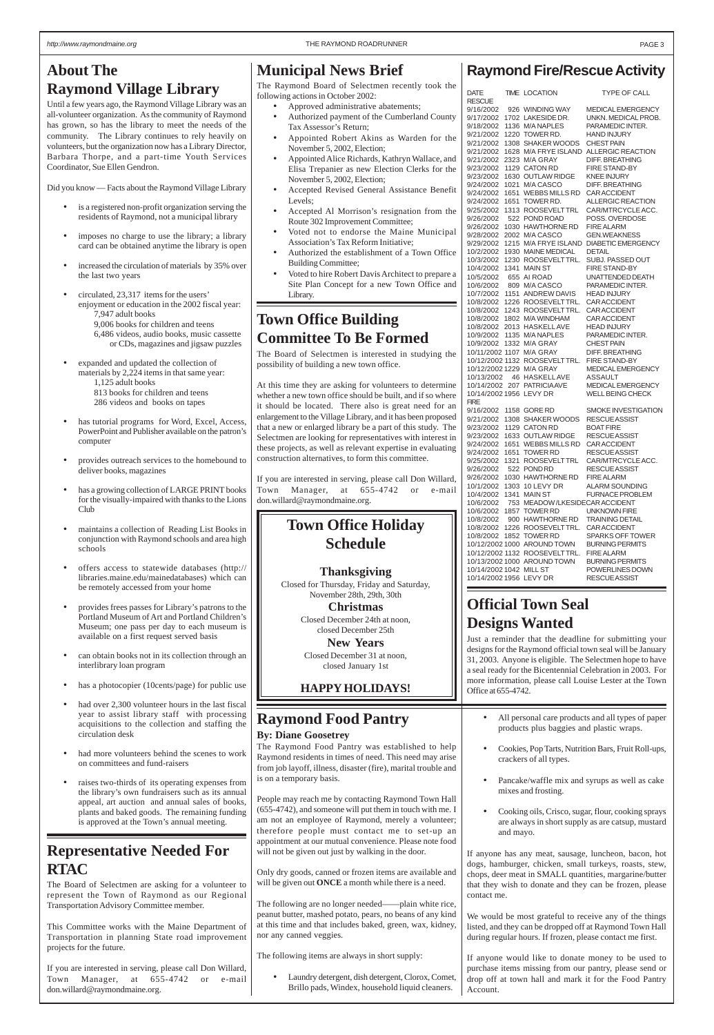### **Raymond Fire/Rescue Activity**

| DATE                    |      | TIME LOCATION                  | TYPE OF CALL              |
|-------------------------|------|--------------------------------|---------------------------|
| <b>RESCUE</b>           |      |                                |                           |
| 9/16/2002               |      | 926 WINDING WAY                | MEDICAL EMERGENCY         |
|                         |      | 1702 LAKESIDE DR.              |                           |
| 9/17/2002               |      |                                | UNKN. MEDICAL PROB.       |
| 9/18/2002               |      | 1136 M/A NAPLES                | PARAMEDIC INTER.          |
| 9/21/2002               |      | 1220 TOWER RD.                 | <b>HAND INJURY</b>        |
| 9/21/2002               |      | 1308 SHAKER WOODS              | <b>CHEST PAIN</b>         |
| 9/21/2002               |      | 1628 M/A FRYE ISLAND           | <b>ALLERGIC REACTION</b>  |
| 9/21/2002               |      | 2323 M/A GRAY                  | <b>DIFF. BREATHING</b>    |
| 9/23/2002               |      | 1129 CATON RD                  | <b>FIRE STAND-BY</b>      |
| 9/23/2002               |      | 1630 OUTLAW RIDGE              | <b>KNEE INJURY</b>        |
| 9/24/2002               |      | 1021 M/A CASCO                 | <b>DIFF. BREATHING</b>    |
| 9/24/2002               | 1651 | <b>WEBBS MILLS RD</b>          | <b>CAR ACCIDENT</b>       |
| 9/24/2002               |      | 1651 TOWER RD.                 | ALLERGIC REACTION         |
| 9/25/2002               |      | 1313 ROOSEVELTTRL              | CAR/MTRCYCLE ACC.         |
| 9/26/2002               |      | 522 POND ROAD                  | POSS. OVERDOSE            |
| 9/26/2002               |      | 1030 HAWTHORNE RD              | <b>FIRE ALARM</b>         |
| 9/28/2002               |      | 2002 M/A CASCO                 | <b>GEN.WEAKNESS</b>       |
|                         |      | 1215 M/A FRYE ISLAND           | <b>DIABETIC EMERGENCY</b> |
| 9/29/2002               |      |                                |                           |
| 10/2/2002               |      | 1930 MAINE MEDICAL             | <b>DETAIL</b>             |
| 10/3/2002               |      | 1230 ROOSEVELTTRL.             | SUBJ. PASSED OUT          |
| 10/4/2002               |      | 1341 MAIN ST                   | FIRE STAND-BY             |
| 10/5/2002               |      | 655 AI ROAD                    | UNATTENDED DEATH          |
| 10/6/2002               |      | 809 M/A CASCO                  | PARAMEDIC INTER.          |
| 10/7/2002               |      | 1151 ANDREW DAVIS              | <b>HEAD INJURY</b>        |
| 10/8/2002               |      | 1226 ROOSEVELTTRL.             | <b>CAR ACCIDENT</b>       |
| 10/8/2002               |      | 1243 ROOSEVELTTRL.             | <b>CAR ACCIDENT</b>       |
| 10/8/2002               |      | 1802 M/A WINDHAM               | <b>CAR ACCIDENT</b>       |
| 10/8/2002               |      | 2013 HASKELLAVE                | <b>HEAD INJURY</b>        |
| 10/9/2002               |      | 1135 M/A NAPLES                | PARAMEDIC INTER.          |
| 10/9/2002               |      | 1332 M/A GRAY                  | <b>CHEST PAIN</b>         |
|                         |      | 10/11/2002 1107 M/A GRAY       | <b>DIFF, BREATHING</b>    |
|                         |      | 10/12/2002 1132 ROOSEVELTTRL.  | <b>FIRE STAND-BY</b>      |
|                         |      | 10/12/2002 1229 M/A GRAY       | <b>MEDICAL EMERGENCY</b>  |
|                         |      |                                |                           |
| 10/13/2002              |      | 46 HASKELLAVE                  | ASSAULT                   |
|                         |      | 10/14/2002 207 PATRICIAAVE     | <b>MEDICAL EMERGENCY</b>  |
| 10/14/2002 1956 LEVY DR |      |                                | WELL BEING CHECK          |
| <b>FIRE</b>             |      |                                |                           |
| 9/16/2002               |      | 1158 GORE RD                   | SMOKE INVESTIGATION       |
| 9/21/2002               | 1308 | <b>SHAKER WOODS</b>            | <b>RESCUE ASSIST</b>      |
| 9/23/2002               |      | 1129 CATON RD                  | <b>BOAT FIRE</b>          |
| 9/23/2002               |      | 1633 OUTLAW RIDGE              | <b>RESCUE ASSIST</b>      |
| 9/24/2002               |      | 1651 WEBBS MILLS RD            | CAR ACCIDENT              |
| 9/24/2002               |      | 1651 TOWER RD                  | <b>RESCUE ASSIST</b>      |
| 9/25/2002               | 1321 | <b>ROOSEVELTTRL</b>            | CAR/MTRCYCLE ACC.         |
| 9/26/2002               |      | 522 POND RD                    | <b>RESCUE ASSIST</b>      |
| 9/26/2002               |      | 1030 HAWTHORNE RD              | FIRE ALARM                |
| 10/1/2002               |      | 1303 10 LEVY DR                | ALARM SOUNDING            |
| 10/4/2002               |      | 1341 MAIN ST                   | <b>FURNACE PROBLEM</b>    |
| 10/6/2002               |      | 753 MEADOW/LKESIDECAR ACCIDENT |                           |
|                         |      | 1857 TOWER RD                  |                           |
| 10/6/2002               |      |                                | <b>UNKNOWN FIRE</b>       |
| 10/8/2002               |      | 900 HAWTHORNE RD               | <b>TRAINING DETAIL</b>    |
| 10/8/2002               |      | 1226 ROOSEVELTTRL.             | <b>CAR ACCIDENT</b>       |
|                         |      | 10/8/2002 1852 TOWER RD        | <b>SPARKS OFF TOWER</b>   |
|                         |      | 10/12/2002 1000 AROUND TOWN    | <b>BURNING PERMITS</b>    |
|                         |      | 10/12/2002 1132 ROOSEVELTTRL.  | <b>FIRE ALARM</b>         |
|                         |      | 10/13/2002 1000 AROUND TOWN    | <b>BURNING PERMITS</b>    |
| 10/14/2002 1042 MILL ST |      |                                | POWERLINES DOWN           |
| 10/14/2002 1956 LEVY DR |      |                                | <b>RESCUE ASSIST</b>      |

### **Municipal News Brief**

The Raymond Board of Selectmen recently took the following actions in October 2002:

- Approved administrative abatements;
- Authorized payment of the Cumberland County Tax Assessor's Return;
- Appointed Robert Akins as Warden for the November 5, 2002, Election;
- Appointed Alice Richards, Kathryn Wallace, and Elisa Trepanier as new Election Clerks for the November 5, 2002, Election;
- Accepted Revised General Assistance Benefit Levels;
- Accepted Al Morrison's resignation from the Route 302 Improvement Committee;
- Voted not to endorse the Maine Municipal Association's Tax Reform Initiative;
- Authorized the establishment of a Town Office Building Committee;
- Voted to hire Robert Davis Architect to prepare a Site Plan Concept for a new Town Office and Library.

### **Town Office Holiday Schedule**

#### **Thanksgiving**

Closed for Thursday, Friday and Saturday, November 28th, 29th, 30th

> **Christmas** Closed December 24th at noon, closed December 25th

**New Years** Closed December 31 at noon, closed January 1st

### **HAPPY HOLIDAYS!**

## **Town Office Building Committee To Be Formed**

The Board of Selectmen is interested in studying the possibility of building a new town office.

- is a registered non-profit organization serving the residents of Raymond, not a municipal library
- imposes no charge to use the library; a library card can be obtained anytime the library is open
- increased the circulation of materials by 35% over the last two years
- circulated, 23,317 items for the users' enjoyment or education in the 2002 fiscal year: 7,947 adult books 9,006 books for children and teens 6,486 videos, audio books, music cassette or CDs, magazines and jigsaw puzzles
- expanded and updated the collection of materials by 2,224 items in that same year: 1,125 adult books 813 books for children and teens 286 videos and books on tapes
- has tutorial programs for Word, Excel, Access, PowerPoint and Publisher available on the patron's computer
- provides outreach services to the homebound to deliver books, magazines
- has a growing collection of LARGE PRINT books for the visually-impaired with thanks to the Lions Club
- maintains a collection of Reading List Books in conjunction with Raymond schools and area high schools
- offers access to statewide databases (http:// libraries.maine.edu/mainedatabases) which can be remotely accessed from your home
- provides frees passes for Library's patrons to the Portland Museum of Art and Portland Children's Museum; one pass per day to each museum is available on a first request served basis
- can obtain books not in its collection through an interlibrary loan program
- has a photocopier (10cents/page) for public use
- had over 2,300 volunteer hours in the last fiscal year to assist library staff with processing acquisitions to the collection and staffing the circulation desk
- had more volunteers behind the scenes to work on committees and fund-raisers
- ises two-thirds of its operating expenses from the library's own fundraisers such as its annual appeal, art auction and annual sales of books, plants and baked goods. The remaining funding is approved at the Town's annual meeting.

At this time they are asking for volunteers to determine whether a new town office should be built, and if so where it should be located. There also is great need for an enlargement to the Village Library, and it has been proposed that a new or enlarged library be a part of this study. The Selectmen are looking for representatives with interest in these projects, as well as relevant expertise in evaluating construction alternatives, to form this committee.

If you are interested in serving, please call Don Willard, Town Manager, at 655-4742 or e-mail don.willard@raymondmaine.org.

### **Representative Needed For RTAC**

The Board of Selectmen are asking for a volunteer to represent the Town of Raymond as our Regional Transportation Advisory Committee member.

This Committee works with the Maine Department of Transportation in planning State road improvement projects for the future.

If you are interested in serving, please call Don Willard, Town Manager, at 655-4742 or e-mail don.willard@raymondmaine.org.

### **Official Town Seal Designs Wanted**

Just a reminder that the deadline for submitting your designs for the Raymond official town seal will be January 31, 2003. Anyone is eligible. The Selectmen hope to have a seal ready for the Bicentennial Celebration in 2003. For more information, please call Louise Lester at the Town Office at 655-4742.

### <span id="page-2-0"></span>**About The Raymond Village Library**

Until a few years ago, the Raymond Village Library was an all-volunteer organization. As the community of Raymond has grown, so has the library to meet the needs of the community. The Library continues to rely heavily on volunteers, but the organization now has a Library Director, Barbara Thorpe, and a part-time Youth Services Coordinator, Sue Ellen Gendron.

Did you know — Facts about the Raymond Village Library

### **Raymond Food Pantry**

#### **By: Diane Goosetrey**

The Raymond Food Pantry was established to help Raymond residents in times of need. This need may arise from job layoff, illness, disaster (fire), marital trouble and is on a temporary basis.

People may reach me by contacting Raymond Town Hall (655-4742), and someone will put them in touch with me. I am not an employee of Raymond, merely a volunteer; therefore people must contact me to set-up an appointment at our mutual convenience. Please note food will not be given out just by walking in the door.

Only dry goods, canned or frozen items are available and will be given out **ONCE** a month while there is a need.

The following are no longer needed——plain white rice, peanut butter, mashed potato, pears, no beans of any kind at this time and that includes baked, green, wax, kidney, nor any canned veggies.

The following items are always in short supply:

• Laundry detergent, dish detergent, Clorox, Comet, Brillo pads, Windex, household liquid cleaners.

- All personal care products and all types of paper products plus baggies and plastic wraps.
- Cookies, Pop Tarts, Nutrition Bars, Fruit Roll-ups, crackers of all types.
- Pancake/waffle mix and syrups as well as cake
- mixes and frosting.
- Cooking oils, Crisco, sugar, flour, cooking sprays are always in short supply as are catsup, mustard and mayo.

If anyone has any meat, sausage, luncheon, bacon, hot dogs, hamburger, chicken, small turkeys, roasts, stew, chops, deer meat in SMALL quantities, margarine/butter that they wish to donate and they can be frozen, please contact me.

We would be most grateful to receive any of the things listed, and they can be dropped off at Raymond Town Hall during regular hours. If frozen, please contact me first.

If anyone would like to donate money to be used to purchase items missing from our pantry, please send or drop off at town hall and mark it for the Food Pantry Account.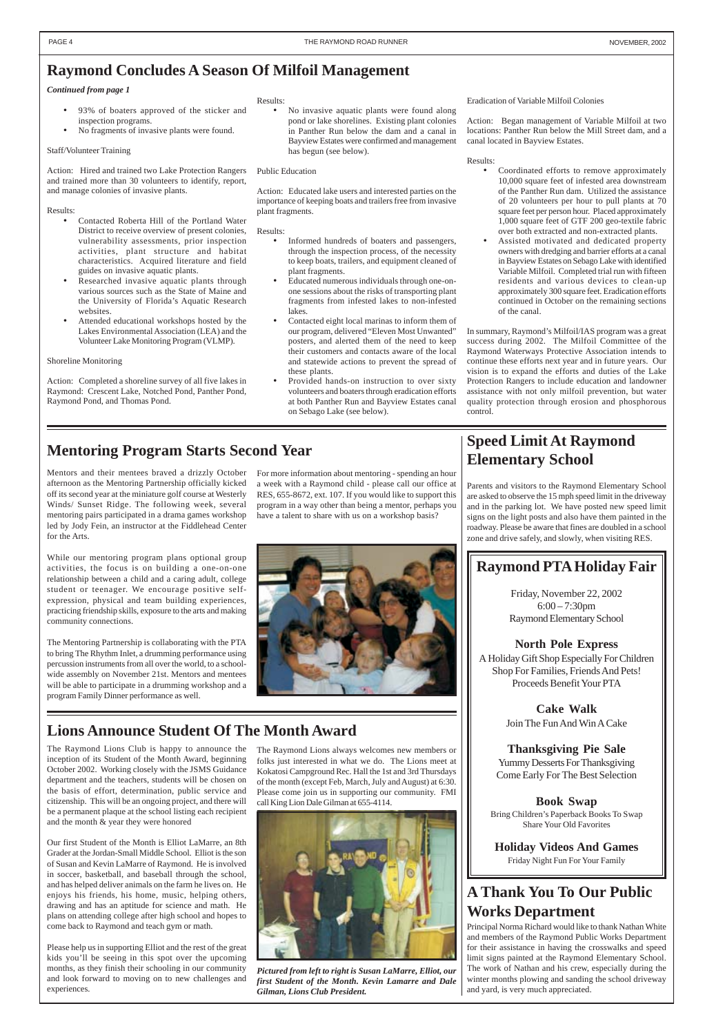### **Mentoring Program Starts Second Year**

- 93% of boaters approved of the sticker and inspection programs.
- No fragments of invasive plants were found.

#### Staff/Volunteer Training

Action: Hired and trained two Lake Protection Rangers and trained more than 30 volunteers to identify, report, and manage colonies of invasive plants.

#### Results:

• No invasive aquatic plants were found along pond or lake shorelines. Existing plant colonies in Panther Run below the dam and a canal in Bayview Estates were confirmed and management has begun (see below).

- Contacted Roberta Hill of the Portland Water District to receive overview of present colonies, vulnerability assessments, prior inspection activities, plant structure and habitat characteristics. Acquired literature and field guides on invasive aquatic plants.
- Researched invasive aquatic plants through various sources such as the State of Maine and the University of Florida's Aquatic Research websites.
- Attended educational workshops hosted by the Lakes Environmental Association (LEA) and the Volunteer Lake Monitoring Program (VLMP).

#### Shoreline Monitoring

Action: Completed a shoreline survey of all five lakes in Raymond: Crescent Lake, Notched Pond, Panther Pond, Raymond Pond, and Thomas Pond.

#### Results:

#### Public Education

Action: Educated lake users and interested parties on the importance of keeping boats and trailers free from invasive plant fragments.

#### Results:

- Informed hundreds of boaters and passengers, through the inspection process, of the necessity to keep boats, trailers, and equipment cleaned of plant fragments.
- Educated numerous individuals through one-onone sessions about the risks of transporting plant fragments from infested lakes to non-infested lakes.
- Contacted eight local marinas to inform them of our program, delivered "Eleven Most Unwanted" posters, and alerted them of the need to keep their customers and contacts aware of the local and statewide actions to prevent the spread of these plants.
- Provided hands-on instruction to over sixty volunteers and boaters through eradication efforts at both Panther Run and Bayview Estates canal on Sebago Lake (see below).

#### Eradication of Variable Milfoil Colonies

Action: Began management of Variable Milfoil at two locations: Panther Run below the Mill Street dam, and a canal located in Bayview Estates.

#### Results:

- Coordinated efforts to remove approximately 10,000 square feet of infested area downstream of the Panther Run dam. Utilized the assistance of 20 volunteers per hour to pull plants at 70 square feet per person hour. Placed approximately 1,000 square feet of GTF 200 geo-textile fabric over both extracted and non-extracted plants.
- Assisted motivated and dedicated property owners with dredging and barrier efforts at a canal in Bayview Estates on Sebago Lake with identified Variable Milfoil. Completed trial run with fifteen residents and various devices to clean-up approximately 300 square feet. Eradication efforts continued in October on the remaining sections of the canal.

In summary, Raymond's Milfoil/IAS program was a great success during 2002. The Milfoil Committee of the Raymond Waterways Protective Association intends to continue these efforts next year and in future years. Our vision is to expand the efforts and duties of the Lake Protection Rangers to include education and landowner assistance with not only milfoil prevention, but water quality protection through erosion and phosphorous control.

#### *Continued from page 1*

### <span id="page-3-0"></span>**Raymond Concludes A Season Of Milfoil Management**

Mentors and their mentees braved a drizzly October afternoon as the Mentoring Partnership officially kicked off its second year at the miniature golf course at Westerly Winds/ Sunset Ridge. The following week, several mentoring pairs participated in a drama games workshop led by Jody Fein, an instructor at the Fiddlehead Center for the Arts.

While our mentoring program plans optional group activities, the focus is on building a one-on-one relationship between a child and a caring adult, college student or teenager. We encourage positive selfexpression, physical and team building experiences, practicing friendship skills, exposure to the arts and making community connections.

The Mentoring Partnership is collaborating with the PTA to bring The Rhythm Inlet, a drumming performance using percussion instruments from all over the world, to a schoolwide assembly on November 21st. Mentors and mentees will be able to participate in a drumming workshop and a program Family Dinner performance as well.

For more information about mentoring - spending an hour a week with a Raymond child - please call our office at RES, 655-8672, ext. 107. If you would like to support this program in a way other than being a mentor, perhaps you have a talent to share with us on a workshop basis?



## **Lions Announce Student Of The Month Award**

The Raymond Lions Club is happy to announce the inception of its Student of the Month Award, beginning October 2002. Working closely with the JSMS Guidance department and the teachers, students will be chosen on the basis of effort, determination, public service and citizenship. This will be an ongoing project, and there will be a permanent plaque at the school listing each recipient and the month & year they were honored

Our first Student of the Month is Elliot LaMarre, an 8th Grader at the Jordan-Small Middle School. Elliot is the son of Susan and Kevin LaMarre of Raymond. He is involved in soccer, basketball, and baseball through the school, and has helped deliver animals on the farm he lives on. He enjoys his friends, his home, music, helping others, drawing and has an aptitude for science and math. He plans on attending college after high school and hopes to come back to Raymond and teach gym or math.

Please help us in supporting Elliot and the rest of the great kids you'll be seeing in this spot over the upcoming months, as they finish their schooling in our community and look forward to moving on to new challenges and experiences.



The Raymond Lions always welcomes new members or folks just interested in what we do. The Lions meet at Kokatosi Campground Rec. Hall the 1st and 3rd Thursdays of the month (except Feb, March, July and August) at 6:30. Please come join us in supporting our community. FMI call King Lion Dale Gilman at 655-4114.

*Pictured from left to right is Susan LaMarre, Elliot, our first Student of the Month. Kevin Lamarre and Dale Gilman, Lions Club President.*

### **Speed Limit At Raymond Elementary School**

Parents and visitors to the Raymond Elementary School are asked to observe the 15 mph speed limit in the driveway and in the parking lot. We have posted new speed limit signs on the light posts and also have them painted in the roadway. Please be aware that fines are doubled in a school zone and drive safely, and slowly, when visiting RES.

### **A Thank You To Our Public Works Department**

Principal Norma Richard would like to thank Nathan White and members of the Raymond Public Works Department for their assistance in having the crosswalks and speed limit signs painted at the Raymond Elementary School. The work of Nathan and his crew, especially during the winter months plowing and sanding the school driveway and yard, is very much appreciated.

### **Raymond PTA Holiday Fair**

Friday, November 22, 2002 6:00 – 7:30pm Raymond Elementary School

### **North Pole Express**

A Holiday Gift Shop Especially For Children Shop For Families, Friends And Pets! Proceeds Benefit Your PTA

> **Cake Walk** Join The Fun And Win A Cake

### **Thanksgiving Pie Sale**

Yummy Desserts For Thanksgiving Come Early For The Best Selection

#### **Book Swap**

Bring Children's Paperback Books To Swap Share Your Old Favorites

**Holiday Videos And Games** Friday Night Fun For Your Family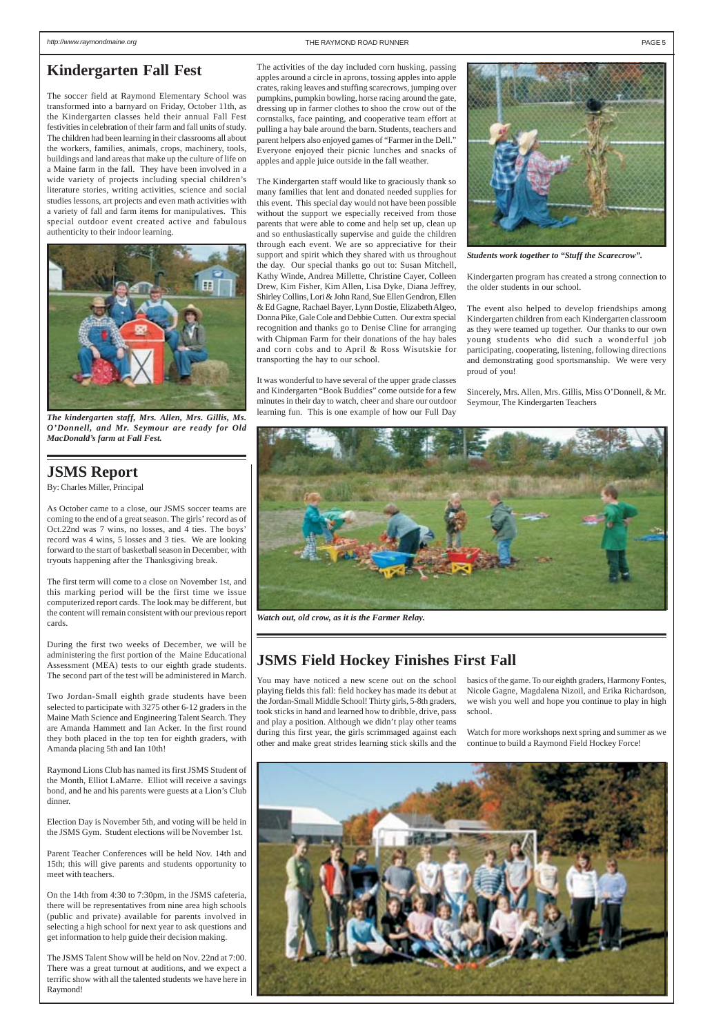### **JSMS Field Hockey Finishes First Fall**

You may have noticed a new scene out on the school playing fields this fall: field hockey has made its debut at the Jordan-Small Middle School! Thirty girls, 5-8th graders, took sticks in hand and learned how to dribble, drive, pass and play a position. Although we didn't play other teams during this first year, the girls scrimmaged against each other and make great strides learning stick skills and the

basics of the game. To our eighth graders, Harmony Fontes, Nicole Gagne, Magdalena Nizoil, and Erika Richardson, we wish you well and hope you continue to play in high school.

Watch for more workshops next spring and summer as we continue to build a Raymond Field Hockey Force!

### <span id="page-4-0"></span>**Kindergarten Fall Fest**

The soccer field at Raymond Elementary School was transformed into a barnyard on Friday, October 11th, as the Kindergarten classes held their annual Fall Fest festivities in celebration of their farm and fall units of study. The children had been learning in their classrooms all about the workers, families, animals, crops, machinery, tools, buildings and land areas that make up the culture of life on a Maine farm in the fall. They have been involved in a wide variety of projects including special children's literature stories, writing activities, science and social studies lessons, art projects and even math activities with a variety of fall and farm items for manipulatives. This special outdoor event created active and fabulous authenticity to their indoor learning.

The activities of the day included corn husking, passing apples around a circle in aprons, tossing apples into apple crates, raking leaves and stuffing scarecrows, jumping over pumpkins, pumpkin bowling, horse racing around the gate, dressing up in farmer clothes to shoo the crow out of the cornstalks, face painting, and cooperative team effort at pulling a hay bale around the barn. Students, teachers and parent helpers also enjoyed games of "Farmer in the Dell." Everyone enjoyed their picnic lunches and snacks of apples and apple juice outside in the fall weather.

The Kindergarten staff would like to graciously thank so many families that lent and donated needed supplies for this event. This special day would not have been possible without the support we especially received from those parents that were able to come and help set up, clean up and so enthusiastically supervise and guide the children through each event. We are so appreciative for their support and spirit which they shared with us throughout the day. Our special thanks go out to: Susan Mitchell, Kathy Winde, Andrea Millette, Christine Cayer, Colleen Drew, Kim Fisher, Kim Allen, Lisa Dyke, Diana Jeffrey, Shirley Collins, Lori & John Rand, Sue Ellen Gendron, Ellen & Ed Gagne, Rachael Bayer, Lynn Dostie, Elizabeth Algeo, Donna Pike, Gale Cole and Debbie Cutten. Our extra special recognition and thanks go to Denise Cline for arranging with Chipman Farm for their donations of the hay bales and corn cobs and to April & Ross Wisutskie for transporting the hay to our school.

It was wonderful to have several of the upper grade classes and Kindergarten "Book Buddies" come outside for a few minutes in their day to watch, cheer and share our outdoor learning fun. This is one example of how our Full Day



*Watch out, old crow, as it is the Farmer Relay.*



*Students work together to "Stuff the Scarecrow".*



*The kindergarten staff, Mrs. Allen, Mrs. Gillis, Ms. O'Donnell, and Mr. Seymour are ready for Old MacDonald's farm at Fall Fest.*

Kindergarten program has created a strong connection to the older students in our school.

The event also helped to develop friendships among Kindergarten children from each Kindergarten classroom as they were teamed up together. Our thanks to our own young students who did such a wonderful job participating, cooperating, listening, following directions and demonstrating good sportsmanship. We were very proud of you!

Sincerely, Mrs. Allen, Mrs. Gillis, Miss O'Donnell, & Mr. Seymour, The Kindergarten Teachers

### **JSMS Report**

By: Charles Miller, Principal

As October came to a close, our JSMS soccer teams are coming to the end of a great season. The girls' record as of Oct.22nd was 7 wins, no losses, and 4 ties. The boys' record was 4 wins, 5 losses and 3 ties. We are looking forward to the start of basketball season in December, with tryouts happening after the Thanksgiving break.

The first term will come to a close on November 1st, and this marking period will be the first time we issue computerized report cards. The look may be different, but the content will remain consistent with our previous report cards.

During the first two weeks of December, we will be administering the first portion of the Maine Educational Assessment (MEA) tests to our eighth grade students. The second part of the test will be administered in March.

Two Jordan-Small eighth grade students have been selected to participate with 3275 other 6-12 graders in the Maine Math Science and Engineering Talent Search. They are Amanda Hammett and Ian Acker. In the first round they both placed in the top ten for eighth graders, with Amanda placing 5th and Ian 10th!

Raymond Lions Club has named its first JSMS Student of the Month, Elliot LaMarre. Elliot will receive a savings

bond, and he and his parents were guests at a Lion's Club dinner.

Election Day is November 5th, and voting will be held in the JSMS Gym. Student elections will be November 1st.

Parent Teacher Conferences will be held Nov. 14th and 15th; this will give parents and students opportunity to meet with teachers.

On the 14th from 4:30 to 7:30pm, in the JSMS cafeteria, there will be representatives from nine area high schools (public and private) available for parents involved in selecting a high school for next year to ask questions and get information to help guide their decision making.

The JSMS Talent Show will be held on Nov. 22nd at 7:00. There was a great turnout at auditions, and we expect a terrific show with all the talented students we have here in Raymond!

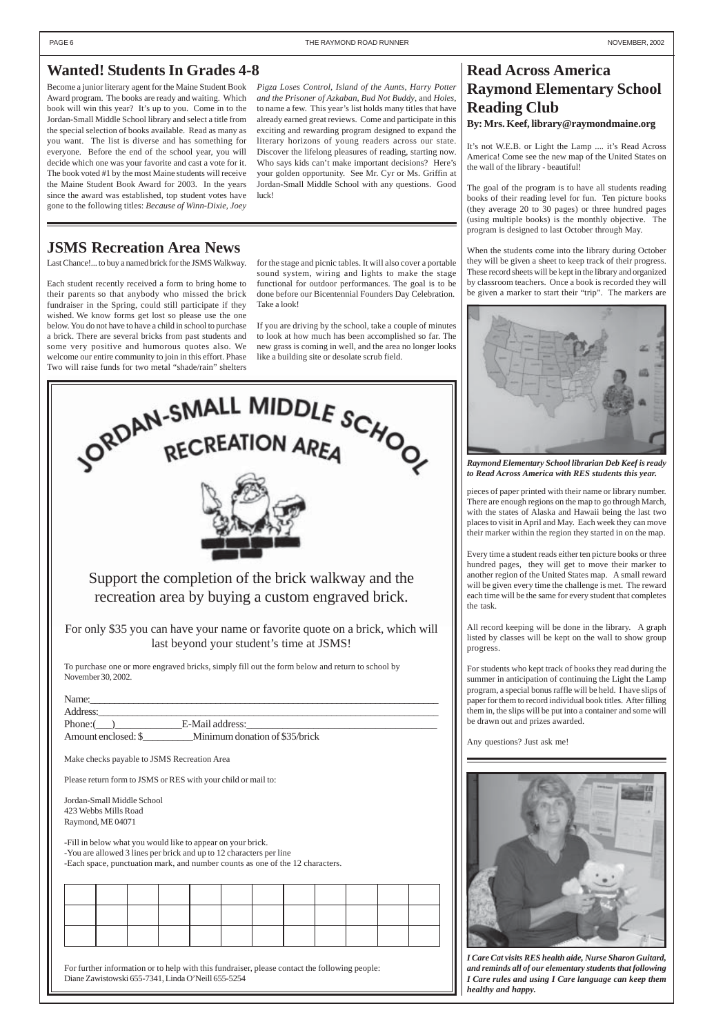### **Read Across America Raymond Elementary School Reading Club By: Mrs. Keef, library@raymondmaine.org**

It's not W.E.B. or Light the Lamp .... it's Read Across America! Come see the new map of the United States on the wall of the library - beautiful!

The goal of the program is to have all students reading books of their reading level for fun. Ten picture books (they average 20 to 30 pages) or three hundred pages (using multiple books) is the monthly objective. The program is designed to last October through May.

When the students come into the library during October they will be given a sheet to keep track of their progress. These record sheets will be kept in the library and organized by classroom teachers. Once a book is recorded they will be given a marker to start their "trip". The markers are

pieces of paper printed with their name or library number. There are enough regions on the map to go through March, with the states of Alaska and Hawaii being the last two places to visit in April and May. Each week they can move their marker within the region they started in on the map.

Every time a student reads either ten picture books or three hundred pages, they will get to move their marker to another region of the United States map. A small reward will be given every time the challenge is met. The reward each time will be the same for every student that completes the task.

All record keeping will be done in the library. A graph listed by classes will be kept on the wall to show group progress.

For students who kept track of books they read during the summer in anticipation of continuing the Light the Lamp program, a special bonus raffle will be held. I have slips of paper for them to record individual book titles. After filling them in, the slips will be put into a container and some will be drawn out and prizes awarded.

Any questions? Just ask me!





| Name:               |                                |
|---------------------|--------------------------------|
| Address:            |                                |
| Phone:              | E-Mail address:                |
| Amount enclosed: \$ | Minimum donation of \$35/brick |

Make checks payable to JSMS Recreation Area

Please return form to JSMS or RES with your child or mail to:

Jordan-Small Middle School 423 Webbs Mills Road Raymond, ME 04071

-Fill in below what you would like to appear on your brick.

-You are allowed 3 lines per brick and up to 12 characters per line

-Each space, punctuation mark, and number counts as one of the 12 characters.



For further information or to help with this fundraiser, please contact the following people: Diane Zawistowski 655-7341, Linda O'Neill 655-5254



### **JSMS Recreation Area News**

Last Chance!... to buy a named brick for the JSMS Walkway.

Each student recently received a form to bring home to their parents so that anybody who missed the brick fundraiser in the Spring, could still participate if they wished. We know forms get lost so please use the one below. You do not have to have a child in school to purchase a brick. There are several bricks from past students and some very positive and humorous quotes also. We welcome our entire community to join in this effort. Phase Two will raise funds for two metal "shade/rain" shelters

for the stage and picnic tables. It will also cover a portable sound system, wiring and lights to make the stage functional for outdoor performances. The goal is to be done before our Bicentennial Founders Day Celebration. Take a look!

If you are driving by the school, take a couple of minutes to look at how much has been accomplished so far. The new grass is coming in well, and the area no longer looks like a building site or desolate scrub field.

> *I Care Cat visits RES health aide, Nurse Sharon Guitard, and reminds all of our elementary students that following I Care rules and using I Care language can keep them healthy and happy.*

### <span id="page-5-0"></span>**Wanted! Students In Grades 4-8**

Become a junior literary agent for the Maine Student Book Award program. The books are ready and waiting. Which book will win this year? It's up to you. Come in to the Jordan-Small Middle School library and select a title from the special selection of books available. Read as many as you want. The list is diverse and has something for everyone. Before the end of the school year, you will decide which one was your favorite and cast a vote for it. The book voted #1 by the most Maine students will receive the Maine Student Book Award for 2003. In the years since the award was established, top student votes have gone to the following titles: *Because of Winn-Dixie*, *Joey*

*Pigza Loses Control*, *Island of the Aunts*, *Harry Potter and the Prisoner of Azkaban*, *Bud Not Buddy*, and *Holes*, to name a few. This year's list holds many titles that have already earned great reviews. Come and participate in this exciting and rewarding program designed to expand the literary horizons of young readers across our state. Discover the lifelong pleasures of reading, starting now. Who says kids can't make important decisions? Here's your golden opportunity. See Mr. Cyr or Ms. Griffin at Jordan-Small Middle School with any questions. Good luck!



*Raymond Elementary School librarian Deb Keef is ready to Read Across America with RES students this year.*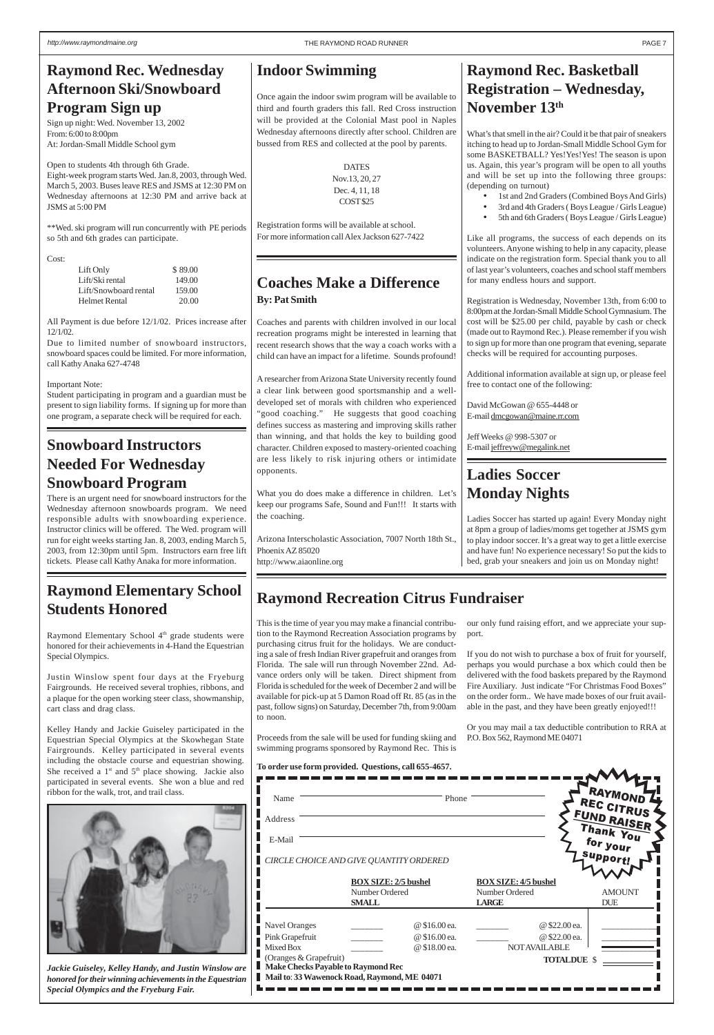**To order use form provided. Questions, call 655-4657.**

### **Raymond Recreation Citrus Fundraiser**

This is the time of year you may make a financial contribution to the Raymond Recreation Association programs by purchasing citrus fruit for the holidays. We are conducting a sale of fresh Indian River grapefruit and oranges from Florida. The sale will run through November 22nd. Advance orders only will be taken. Direct shipment from Florida is scheduled for the week of December 2 and will be available for pick-up at 5 Damon Road off Rt. 85 (as in the past, follow signs) on Saturday, December 7th, from 9:00am to noon.

- 1st and 2nd Graders (Combined Boys And Girls)
- 3rd and 4th Graders ( Boys League / Girls League)
- 5th and 6th Graders ( Boys League / Girls League)

Proceeds from the sale will be used for funding skiing and swimming programs sponsored by Raymond Rec. This is

our only fund raising effort, and we appreciate your support.

If you do not wish to purchase a box of fruit for yourself, perhaps you would purchase a box which could then be delivered with the food baskets prepared by the Raymond Fire Auxiliary. Just indicate "For Christmas Food Boxes" on the order form.. We have made boxes of our fruit available in the past, and they have been greatly enjoyed!!!

Or you may mail a tax deductible contribution to RRA at P.O. Box 562, Raymond ME 04071



**Raymond Rec. Basketball Registration – Wednesday, November 13th**

What's that smell in the air? Could it be that pair of sneakers itching to head up to Jordan-Small Middle School Gym for some BASKETBALL? Yes!Yes!Yes! The season is upon us. Again, this year's program will be open to all youths and will be set up into the following three groups: (depending on turnout)

Like all programs, the success of each depends on its volunteers. Anyone wishing to help in any capacity, please indicate on the registration form. Special thank you to all of last year's volunteers, coaches and school staff members for many endless hours and support.

Registration is Wednesday, November 13th, from 6:00 to 8:00pm at the Jordan-Small Middle School Gymnasium. The cost will be \$25.00 per child, payable by cash or check (made out to Raymond Rec.). Please remember if you wish to sign up for more than one program that evening, separate checks will be required for accounting purposes.

Additional information available at sign up, or please feel free to contact one of the following:

David McGowan @ 655-4448 or E-mail dmcgowan@maine.rr.com

Jeff Weeks @ 998-5307 or E-mail jeffreyw@megalink.net

### **Coaches Make a Difference By: Pat Smith**

Raymond Elementary School 4<sup>th</sup> grade students were honored for their achievements in 4-Hand the Equestrian Special Olympics.

Coaches and parents with children involved in our local recreation programs might be interested in learning that recent research shows that the way a coach works with a child can have an impact for a lifetime. Sounds profound!

| participated in several events. Sile won a blue and feu<br>ribbon for the walk, trot, and trail class.                                                              | Name<br>Address<br>E-Mail                                    | Phone<br>CIRCLE CHOICE AND GIVE QUANTITY ORDERED              |                                                               | A RAYMOND /<br>REC CITRUS<br>FUND RAISER<br>Thank You<br>for your<br><b>Support!</b> |
|---------------------------------------------------------------------------------------------------------------------------------------------------------------------|--------------------------------------------------------------|---------------------------------------------------------------|---------------------------------------------------------------|--------------------------------------------------------------------------------------|
|                                                                                                                                                                     |                                                              | <b>BOX SIZE: 2/5 bushel</b><br>Number Ordered<br><b>SMALL</b> | <b>BOX SIZE: 4/5 bushel</b><br>Number Ordered<br><b>LARGE</b> | <b>AMOUNT</b><br><b>DUE</b>                                                          |
|                                                                                                                                                                     | <b>Navel Oranges</b><br>Pink Grapefruit<br>Mixed Box         | @ \$16.00 ea.<br>@ \$16.00 ea.<br>@ \$18.00 ea.               | @ \$22.00 ea.<br>@ \$22.00 ea.<br><b>NOTAVAILABLE</b>         |                                                                                      |
| Jackie Guiseley, Kelley Handy, and Justin Winslow are<br>honored for their winning achievements in the Equestrian<br><b>Special Olympics and the Fryeburg Fair.</b> | (Oranges & Grapefruit)<br>Make Checks Payable to Raymond Rec | Mail to: 33 Wawenock Road, Raymond, ME 04071                  | <b>TOTALDUE \$</b>                                            |                                                                                      |

A researcher from Arizona State University recently found a clear link between good sportsmanship and a welldeveloped set of morals with children who experienced "good coaching." He suggests that good coaching defines success as mastering and improving skills rather than winning, and that holds the key to building good character. Children exposed to mastery-oriented coaching are less likely to risk injuring others or intimidate opponents.

What you do does make a difference in children. Let's keep our programs Safe, Sound and Fun!!! It starts with the coaching.

Arizona Interscholastic Association, 7007 North 18th St., Phoenix AZ 85020 http://www.aiaonline.org

### **Indoor Swimming**

Once again the indoor swim program will be available to third and fourth graders this fall. Red Cross instruction will be provided at the Colonial Mast pool in Naples Wednesday afternoons directly after school. Children are bussed from RES and collected at the pool by parents.

> DATES Nov.13, 20, 27 Dec. 4, 11, 18 COST \$25

Registration forms will be available at school. For more information call Alex Jackson 627-7422

### **Ladies Soccer Monday Nights**

Ladies Soccer has started up again! Every Monday night at 8pm a group of ladies/moms get together at JSMS gym to play indoor soccer. It's a great way to get a little exercise and have fun! No experience necessary! So put the kids to bed, grab your sneakers and join us on Monday night!

### **Snowboard Instructors Needed For Wednesday Snowboard Program**

There is an urgent need for snowboard instructors for the Wednesday afternoon snowboards program. We need responsible adults with snowboarding experience. Instructor clinics will be offered. The Wed. program will run for eight weeks starting Jan. 8, 2003, ending March 5, 2003, from 12:30pm until 5pm. Instructors earn free lift tickets. Please call Kathy Anaka for more information.

## <span id="page-6-0"></span>**Raymond Rec. Wednesday Afternoon Ski/Snowboard Program Sign up**

Sign up night: Wed. November 13, 2002 From: 6:00 to 8:00pm At: Jordan-Small Middle School gym

Open to students 4th through 6th Grade. Eight-week program starts Wed. Jan.8, 2003, through Wed. March 5, 2003. Buses leave RES and JSMS at 12:30 PM on Wednesday afternoons at 12:30 PM and arrive back at JSMS at 5:00 PM

\*\*Wed. ski program will run concurrently with PE periods so 5th and 6th grades can participate.

Cost:

| Lift Only             | \$89.00 |
|-----------------------|---------|
| Lift/Ski rental       | 149.00  |
| Lift/Snowboard rental | 159.00  |
| Helmet Rental         | 20.00   |

All Payment is due before 12/1/02. Prices increase after 12/1/02.

Due to limited number of snowboard instructors, snowboard spaces could be limited. For more information, call Kathy Anaka 627-4748

Important Note:

Student participating in program and a guardian must be present to sign liability forms. If signing up for more than one program, a separate check will be required for each.

### **Raymond Elementary School Students Honored**

Justin Winslow spent four days at the Fryeburg Fairgrounds. He received several trophies, ribbons, and a plaque for the open working steer class, showmanship, cart class and drag class.

Kelley Handy and Jackie Guiseley participated in the Equestrian Special Olympics at the Skowhegan State Fairgrounds. Kelley participated in several events including the obstacle course and equestrian showing. She received a  $1<sup>st</sup>$  and  $5<sup>th</sup>$  place showing. Jackie also participated in several events. She won a blue and red